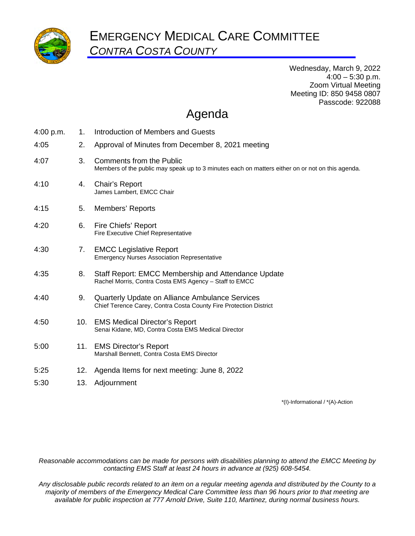

Wednesday, March 9, 2022  $4:00 - 5:30$  p.m. Zoom Virtual Meeting Meeting ID: 850 9458 0807 Passcode: 922088

## Agenda

| Introduction of Members and Guests                                                                                           |
|------------------------------------------------------------------------------------------------------------------------------|
| Approval of Minutes from December 8, 2021 meeting                                                                            |
| Comments from the Public<br>Members of the public may speak up to 3 minutes each on matters either on or not on this agenda. |
| Chair's Report<br>James Lambert, EMCC Chair                                                                                  |
| Members' Reports                                                                                                             |
| Fire Chiefs' Report<br>Fire Executive Chief Representative                                                                   |
| <b>EMCC Legislative Report</b><br><b>Emergency Nurses Association Representative</b>                                         |
| Staff Report: EMCC Membership and Attendance Update<br>Rachel Morris, Contra Costa EMS Agency - Staff to EMCC                |
| Quarterly Update on Alliance Ambulance Services<br>Chief Terence Carey, Contra Costa County Fire Protection District         |
| <b>EMS Medical Director's Report</b><br>Senai Kidane, MD, Contra Costa EMS Medical Director                                  |
| <b>EMS Director's Report</b><br>Marshall Bennett, Contra Costa EMS Director                                                  |
| Agenda Items for next meeting: June 8, 2022                                                                                  |
| Adjournment                                                                                                                  |
| 10.<br>11.<br>12.<br>13.                                                                                                     |

\*(I)-Informational / \*(A)-Action

*Reasonable accommodations can be made for persons with disabilities planning to attend the EMCC Meeting by contacting EMS Staff at least 24 hours in advance at (925) 608-5454.* 

*Any disclosable public records related to an item on a regular meeting agenda and distributed by the County to a majority of members of the Emergency Medical Care Committee less than 96 hours prior to that meeting are available for public inspection at 777 Arnold Drive, Suite 110, Martinez, during normal business hours.*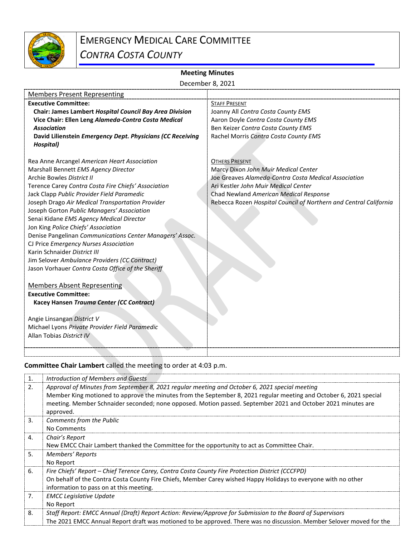

## EMERGENCY MEDICAL CARE COMMITTEE

*CONTRA COSTA COUNTY*

## **Meeting Minutes**

| December 8, 2021                                           |                                                                   |  |  |  |  |  |  |
|------------------------------------------------------------|-------------------------------------------------------------------|--|--|--|--|--|--|
| <b>Members Present Representing</b>                        |                                                                   |  |  |  |  |  |  |
| <b>Executive Committee:</b>                                | <b>STAFF PRESENT</b>                                              |  |  |  |  |  |  |
| Chair: James Lambert Hospital Council Bay Area Division    | Joanny All Contra Costa County EMS                                |  |  |  |  |  |  |
| Vice Chair: Ellen Leng Alameda-Contra Costa Medical        | Aaron Doyle Contra Costa County EMS                               |  |  |  |  |  |  |
| <b>Association</b>                                         | Ben Keizer Contra Costa County EMS                                |  |  |  |  |  |  |
| David Lilienstein Emergency Dept. Physicians (CC Receiving | Rachel Morris Contra Costa County EMS                             |  |  |  |  |  |  |
| Hospital)                                                  |                                                                   |  |  |  |  |  |  |
|                                                            |                                                                   |  |  |  |  |  |  |
| Rea Anne Arcangel American Heart Association               | <b>OTHERS PRESENT</b>                                             |  |  |  |  |  |  |
| Marshall Bennett EMS Agency Director                       | Marcy Dixon John Muir Medical Center                              |  |  |  |  |  |  |
| Archie Bowles District II                                  | Joe Greaves Alameda-Contra Costa Medical Association              |  |  |  |  |  |  |
| Terence Carey Contra Costa Fire Chiefs' Association        | Ari Kestler John Muir Medical Center                              |  |  |  |  |  |  |
| Jack Clapp Public Provider Field Paramedic                 | Chad Newland American Medical Response                            |  |  |  |  |  |  |
| Joseph Drago Air Medical Transportation Provider           | Rebecca Rozen Hospital Council of Northern and Central California |  |  |  |  |  |  |
| Joseph Gorton Public Managers' Association                 |                                                                   |  |  |  |  |  |  |
| Senai Kidane EMS Agency Medical Director                   |                                                                   |  |  |  |  |  |  |
| Jon King Police Chiefs' Association                        |                                                                   |  |  |  |  |  |  |
| Denise Pangelinan Communications Center Managers' Assoc.   |                                                                   |  |  |  |  |  |  |
| CJ Price Emergency Nurses Association                      |                                                                   |  |  |  |  |  |  |
| Karin Schnaider District III                               |                                                                   |  |  |  |  |  |  |
| Jim Selover Ambulance Providers (CC Contract)              |                                                                   |  |  |  |  |  |  |
| Jason Vorhauer Contra Costa Office of the Sheriff          |                                                                   |  |  |  |  |  |  |
|                                                            |                                                                   |  |  |  |  |  |  |
| <b>Members Absent Representing</b>                         |                                                                   |  |  |  |  |  |  |
| <b>Executive Committee:</b>                                |                                                                   |  |  |  |  |  |  |
| Kacey Hansen Trauma Center (CC Contract)                   |                                                                   |  |  |  |  |  |  |
|                                                            |                                                                   |  |  |  |  |  |  |
| Angie Linsangan District V                                 |                                                                   |  |  |  |  |  |  |
| Michael Lyons Private Provider Field Paramedic             |                                                                   |  |  |  |  |  |  |
| Allan Tobias District IV                                   |                                                                   |  |  |  |  |  |  |
|                                                            |                                                                   |  |  |  |  |  |  |
|                                                            |                                                                   |  |  |  |  |  |  |

**Committee Chair Lambert** called the meeting to order at 4:03 p.m.

| 1.               | Introduction of Members and Guests                                                                                   |
|------------------|----------------------------------------------------------------------------------------------------------------------|
| 2.               | Approval of Minutes from September 8, 2021 regular meeting and October 6, 2021 special meeting                       |
|                  | Member King motioned to approve the minutes from the September 8, 2021 regular meeting and October 6, 2021 special   |
|                  | meeting. Member Schnaider seconded; none opposed. Motion passed. September 2021 and October 2021 minutes are         |
|                  | approved.                                                                                                            |
| $\overline{3}$ . | Comments from the Public                                                                                             |
|                  | No Comments                                                                                                          |
| 4.               | Chair's Report                                                                                                       |
|                  | New EMCC Chair Lambert thanked the Committee for the opportunity to act as Committee Chair.                          |
| 5.               | Members' Reports                                                                                                     |
|                  | No Report                                                                                                            |
| 6.               | Fire Chiefs' Report – Chief Terence Carey, Contra Costa County Fire Protection District (CCCFPD)                     |
|                  | On behalf of the Contra Costa County Fire Chiefs, Member Carey wished Happy Holidays to everyone with no other       |
|                  | information to pass on at this meeting.                                                                              |
| 7.               | <b>EMCC Legislative Update</b>                                                                                       |
|                  | No Report                                                                                                            |
| 8.               | Staff Report: EMCC Annual (Draft) Report Action: Review/Approve for Submission to the Board of Supervisors           |
|                  | The 2021 EMCC Annual Report draft was motioned to be approved. There was no discussion. Member Selover moved for the |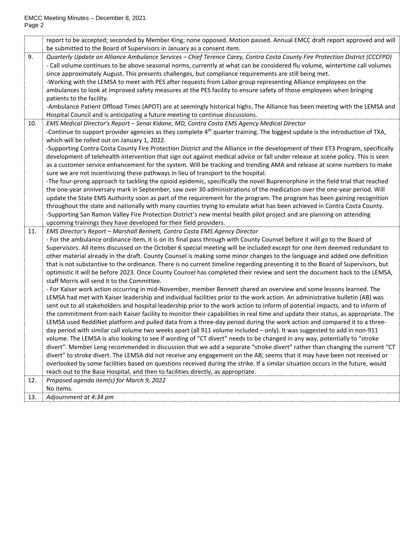|     | report to be accepted; seconded by Member King; none opposed. Motion passed. Annual EMCC draft report approved and will          |
|-----|----------------------------------------------------------------------------------------------------------------------------------|
|     | be submitted to the Board of Supervisors in January as a consent item.                                                           |
| 9.  | Quarterly Update on Alliance Ambulance Services - Chief Terence Carey, Contra Costa County Fire Protection District (CCCFPD)     |
|     | - Call volume continues to be above seasonal norms, currently at what can be considered flu volume, wintertime call volumes      |
|     | since approximately August. This presents challenges, but compliance requirements are still being met.                           |
|     | -Working with the LEMSA to meet with PES after requests from Labor group representing Alliance employees on the                  |
|     | ambulances to look at improved safety measures at the PES facility to ensure safety of those employees when bringing             |
|     | patients to the facility.                                                                                                        |
|     | -Ambulance Patient Offload Times (APOT) are at seemingly historical highs. The Alliance has been meeting with the LEMSA and      |
|     | Hospital Council and is anticipating a future meeting to continue discussions.                                                   |
| 10. | EMS Medical Director's Report - Senai Kidane, MD, Contra Costa EMS Agency Medical Director                                       |
|     | -Continue to support provider agencies as they complete $4th$ quarter training. The biggest update is the introduction of TXA,   |
|     | which will be rolled out on January 1, 2022.                                                                                     |
|     | -Supporting Contra Costa County Fire Protection District and the Alliance in the development of their ET3 Program, specifically  |
|     | development of telehealth intervention that sign out against medical advice or fall under release at scene policy. This is seen  |
|     | as a customer service enhancement for the system. Will be tracking and trending AMA and release at scene numbers to make         |
|     | sure we are not incentivizing these pathways in lieu of transport to the hospital.                                               |
|     | -The four-prong approach to tackling the opioid epidemic, specifically the novel Buprenorphine in the field trial that reached   |
|     | the one-year anniversary mark in September, saw over 30 administrations of the medication over the one-year period. Will         |
|     | update the State EMS Authority soon as part of the requirement for the program. The program has been gaining recognition         |
|     | throughout the state and nationally with many counties trying to emulate what has been achieved in Contra Costa County.          |
|     | -Supporting San Ramon Valley Fire Protection District's new mental health pilot project and are planning on attending            |
|     | upcoming trainings they have developed for their field providers.                                                                |
| 11. | EMS Director's Report - Marshall Bennett, Contra Costa EMS Agency Director                                                       |
|     | - For the ambulance ordinance item, it is on its final pass through with County Counsel before it will go to the Board of        |
|     | Supervisors. All items discussed on the October 6 special meeting will be included except for one item deemed redundant to       |
|     | other material already in the draft. County Counsel is making some minor changes to the language and added one definition        |
|     | that is not substantive to the ordinance. There is no current timeline regarding presenting it to the Board of Supervisors, but  |
|     | optimistic it will be before 2023. Once County Counsel has completed their review and sent the document back to the LEMSA,       |
|     | staff Morris will send it to the Committee.                                                                                      |
|     | - For Kaiser work action occurring in mid-November, member Bennett shared an overview and some lessons learned. The              |
|     | LEMSA had met with Kaiser leadership and individual facilities prior to the work action. An administrative bulletin (AB) was     |
|     | sent out to all stakeholders and hospital leadership prior to the work action to inform of potential impacts, and to inform of   |
|     | the commitment from each Kaiser facility to monitor their capabilities in real time and update their status, as appropriate. The |
|     | LEMSA used ReddiNet platform and pulled data from a three-day period during the work action and compared it to a three-          |
|     | day period with similar call volume two weeks apart (all 911 volume included - only). It was suggested to add in non-911         |
|     | volume. The LEMSA is also looking to see if wording of "CT divert" needs to be changed in any way, potentially to "stroke        |
|     | divert". Member Leng recommended in discussion that we add a separate "stroke divert" rather than changing the current "CT       |
|     | divert" to stroke divert. The LEMSA did not receive any engagement on the AB; seems that it may have been not received or        |
|     | overlooked by some facilities based on questions received during the strike. If a similar situation occurs in the future, would  |
|     | reach out to the Base Hospital, and then to facilities directly, as appropriate.                                                 |
| 12. | Proposed agenda item(s) for March 9, 2022                                                                                        |
|     | No items.                                                                                                                        |
| 13. | Adjournment at 4:34 pm                                                                                                           |